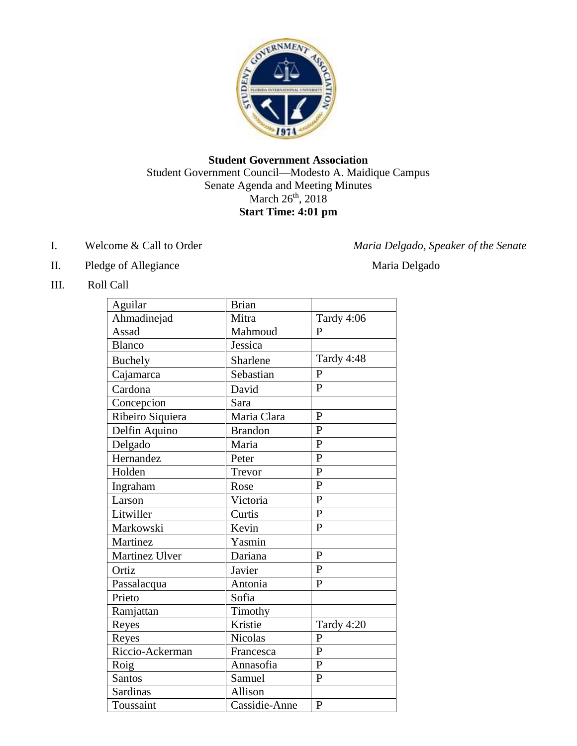

## **Student Government Association** Student Government Council—Modesto A. Maidique Campus Senate Agenda and Meeting Minutes March 26<sup>th</sup>, 2018 **Start Time: 4:01 pm**

- 
- II. Pledge of Allegiance Maria Delgado

I. Welcome & Call to Order *Maria Delgado, Speaker of the Senate* 

III. Roll Call

| Aguilar          | <b>Brian</b>   |                |
|------------------|----------------|----------------|
| Ahmadinejad      | Mitra          | Tardy 4:06     |
| Assad            | Mahmoud        | $\mathbf{P}$   |
| <b>Blanco</b>    | Jessica        |                |
| <b>Buchely</b>   | Sharlene       | Tardy 4:48     |
| Cajamarca        | Sebastian      | $\mathbf{P}$   |
| Cardona          | David          | $\mathbf{P}$   |
| Concepcion       | Sara           |                |
| Ribeiro Siquiera | Maria Clara    | $\overline{P}$ |
| Delfin Aquino    | <b>Brandon</b> | $\mathbf{P}$   |
| Delgado          | Maria          | $\overline{P}$ |
| Hernandez        | Peter          | $\mathbf{P}$   |
| Holden           | Trevor         | $\overline{P}$ |
| Ingraham         | Rose           | $\mathbf{P}$   |
| Larson           | Victoria       | $\overline{P}$ |
| Litwiller        | Curtis         | $\overline{P}$ |
| Markowski        | Kevin          | $\mathbf{P}$   |
| Martinez         | Yasmin         |                |
| Martinez Ulver   | Dariana        | $\overline{P}$ |
| Ortiz            | Javier         | $\mathbf{P}$   |
| Passalacqua      | Antonia        | $\mathbf{P}$   |
| Prieto           | Sofia          |                |
| Ramjattan        | Timothy        |                |
| Reyes            | Kristie        | Tardy 4:20     |
| Reyes            | <b>Nicolas</b> | $\mathbf{P}$   |
| Riccio-Ackerman  | Francesca      | $\overline{P}$ |
| Roig             | Annasofia      | $\overline{P}$ |
| Santos           | Samuel         | $\mathbf{P}$   |
| Sardinas         | Allison        |                |
| Toussaint        | Cassidie-Anne  | $\overline{P}$ |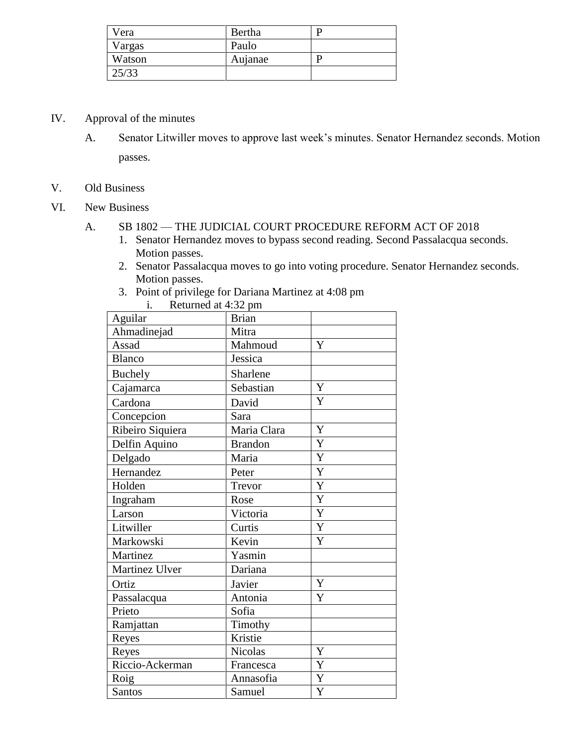| Vera   | Bertha  |  |
|--------|---------|--|
| Vargas | Paulo   |  |
| Watson | Aujanae |  |
| 25/33  |         |  |

- IV. Approval of the minutes
	- A. Senator Litwiller moves to approve last week's minutes. Senator Hernandez seconds. Motion passes.
- V. Old Business
- VI. New Business
	- A. SB 1802 THE JUDICIAL COURT PROCEDURE REFORM ACT OF 2018
		- 1. Senator Hernandez moves to bypass second reading. Second Passalacqua seconds. Motion passes.
		- 2. Senator Passalacqua moves to go into voting procedure. Senator Hernandez seconds. Motion passes.
		- 3. Point of privilege for Dariana Martinez at 4:08 pm

| i.<br>Returned at 4:32 pm |                |                |
|---------------------------|----------------|----------------|
| Aguilar                   | <b>Brian</b>   |                |
| Ahmadinejad               | Mitra          |                |
| Assad                     | Mahmoud        | Y              |
| <b>Blanco</b>             | Jessica        |                |
| <b>Buchely</b>            | Sharlene       |                |
| Cajamarca                 | Sebastian      | Y              |
| Cardona                   | David          | Y              |
| Concepcion                | Sara           |                |
| Ribeiro Siquiera          | Maria Clara    | Y              |
| Delfin Aquino             | <b>Brandon</b> | Y              |
| Delgado                   | Maria          | $\overline{Y}$ |
| Hernandez                 | Peter          | Y              |
| Holden                    | Trevor         | Y              |
| Ingraham                  | Rose           | Y              |
| Larson                    | Victoria       | Y              |
| Litwiller                 | Curtis         | Y              |
| Markowski                 | Kevin          | Y              |
| Martinez                  | Yasmin         |                |
| Martinez Ulver            | Dariana        |                |
| Ortiz                     | Javier         | Y              |
| Passalacqua               | Antonia        | Y              |
| Prieto                    | Sofia          |                |
| Ramjattan                 | Timothy        |                |
| Reyes                     | Kristie        |                |
| Reyes                     | Nicolas        | Y              |
| Riccio-Ackerman           | Francesca      | $\overline{Y}$ |
| Roig                      | Annasofia      | $\overline{Y}$ |
| <b>Santos</b>             | Samuel         | Y              |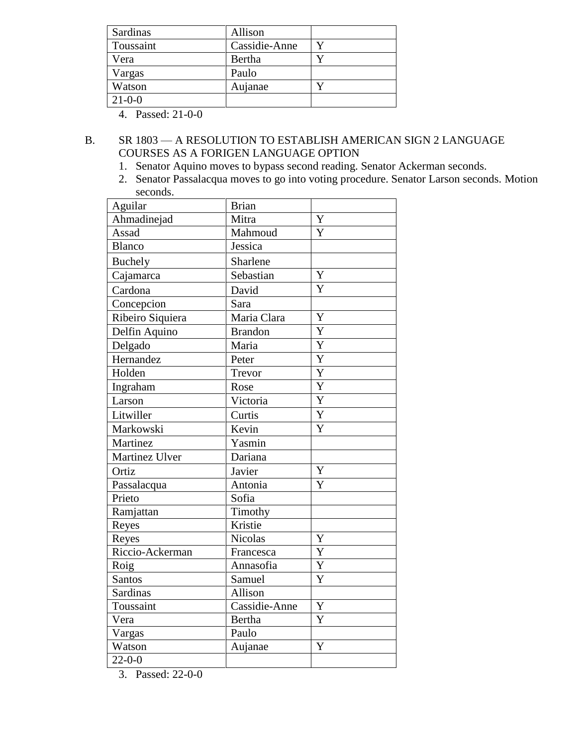| Sardinas     | Allison       |  |
|--------------|---------------|--|
| Toussaint    | Cassidie-Anne |  |
| Vera         | Bertha        |  |
| Vargas       | Paulo         |  |
| Watson       | Aujanae       |  |
| $21 - 0 - 0$ |               |  |

4. Passed: 21-0-0

## B. SR 1803 — A RESOLUTION TO ESTABLISH AMERICAN SIGN 2 LANGUAGE COURSES AS A FORIGEN LANGUAGE OPTION

- 1. Senator Aquino moves to bypass second reading. Senator Ackerman seconds.
- 2. Senator Passalacqua moves to go into voting procedure. Senator Larson seconds. Motion seconds.

| Aguilar          | <b>Brian</b>   |                       |
|------------------|----------------|-----------------------|
| Ahmadinejad      | Mitra          | Y                     |
| Assad            | Mahmoud        | Y                     |
| <b>Blanco</b>    | Jessica        |                       |
| <b>Buchely</b>   | Sharlene       |                       |
| Cajamarca        | Sebastian      | Y                     |
| Cardona          | David          | Y                     |
| Concepcion       | Sara           |                       |
| Ribeiro Siquiera | Maria Clara    | $\overline{\text{Y}}$ |
| Delfin Aquino    | <b>Brandon</b> | Y                     |
| Delgado          | Maria          | Y                     |
| Hernandez        | Peter          | Y                     |
| Holden           | Trevor         | Y                     |
| Ingraham         | Rose           | $\overline{Y}$        |
| Larson           | Victoria       | $\overline{Y}$        |
| Litwiller        | Curtis         | $\overline{Y}$        |
| Markowski        | Kevin          | Y                     |
| Martinez         | Yasmin         |                       |
| Martinez Ulver   | Dariana        |                       |
| Ortiz            | Javier         | Y                     |
| Passalacqua      | Antonia        | Y                     |
| Prieto           | Sofia          |                       |
| Ramjattan        | Timothy        |                       |
| Reyes            | Kristie        |                       |
| Reyes            | <b>Nicolas</b> | Y                     |
| Riccio-Ackerman  | Francesca      | $\overline{Y}$        |
| Roig             | Annasofia      | $\overline{Y}$        |
| <b>Santos</b>    | Samuel         | Y                     |
| <b>Sardinas</b>  | Allison        |                       |
| Toussaint        | Cassidie-Anne  | $\mathbf Y$           |
| Vera             | Bertha         | Y                     |
| Vargas           | Paulo          |                       |
| Watson           | Aujanae        | Y                     |
| $22 - 0 - 0$     |                |                       |

3. Passed: 22-0-0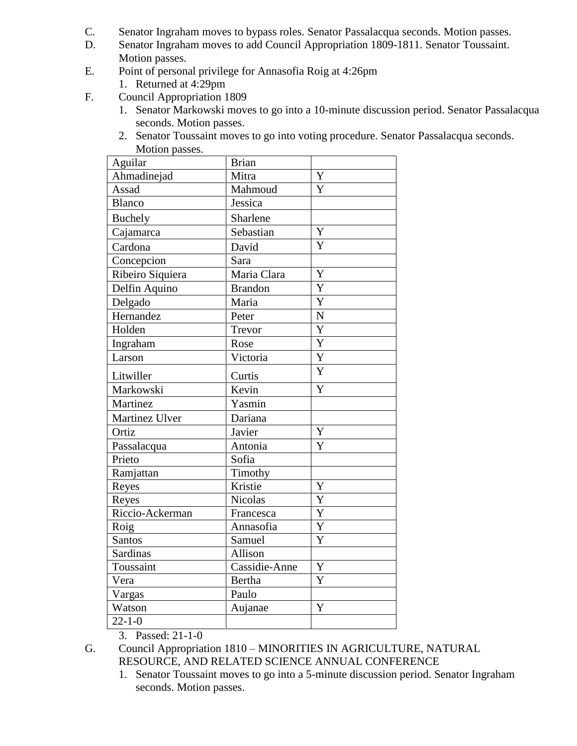- C. Senator Ingraham moves to bypass roles. Senator Passalacqua seconds. Motion passes.
- D. Senator Ingraham moves to add Council Appropriation 1809-1811. Senator Toussaint. Motion passes.
- E. Point of personal privilege for Annasofia Roig at 4:26pm
	- 1. Returned at 4:29pm
- F. Council Appropriation 1809
	- 1. Senator Markowski moves to go into a 10-minute discussion period. Senator Passalacqua seconds. Motion passes.
	- 2. Senator Toussaint moves to go into voting procedure. Senator Passalacqua seconds. Motion passes.

| Aguilar          | <b>Brian</b>   |                |
|------------------|----------------|----------------|
| Ahmadinejad      | Mitra          | Y              |
| Assad            | Mahmoud        | Y              |
| <b>Blanco</b>    | Jessica        |                |
| <b>Buchely</b>   | Sharlene       |                |
| Cajamarca        | Sebastian      | Y              |
| Cardona          | David          | Y              |
| Concepcion       | Sara           |                |
| Ribeiro Siquiera | Maria Clara    | Y              |
| Delfin Aquino    | <b>Brandon</b> | Y              |
| Delgado          | Maria          | Y              |
| Hernandez        | Peter          | $\overline{N}$ |
| Holden           | Trevor         | $\overline{Y}$ |
| Ingraham         | Rose           | Y              |
| Larson           | Victoria       | $\overline{Y}$ |
| Litwiller        | Curtis         | Y              |
| Markowski        | Kevin          | $\overline{Y}$ |
| Martinez         | Yasmin         |                |
| Martinez Ulver   | Dariana        |                |
| Ortiz            | Javier         | $\bar{Y}$      |
| Passalacqua      | Antonia        | Y              |
| Prieto           | Sofia          |                |
| Ramjattan        | Timothy        |                |
| Reyes            | Kristie        | Y              |
| Reyes            | <b>Nicolas</b> | Y              |
| Riccio-Ackerman  | Francesca      | Y              |
| Roig             | Annasofia      | $\overline{Y}$ |
| <b>Santos</b>    | Samuel         | Y              |
| Sardinas         | Allison        |                |
| Toussaint        | Cassidie-Anne  | Y              |
| Vera             | <b>Bertha</b>  | Y              |
| Vargas           | Paulo          |                |
| Watson           | Aujanae        | $\overline{Y}$ |
| $22 - 1 - 0$     |                |                |

3. Passed: 21-1-0

- G. Council Appropriation 1810 MINORITIES IN AGRICULTURE, NATURAL RESOURCE, AND RELATED SCIENCE ANNUAL CONFERENCE
	- 1. Senator Toussaint moves to go into a 5-minute discussion period. Senator Ingraham seconds. Motion passes.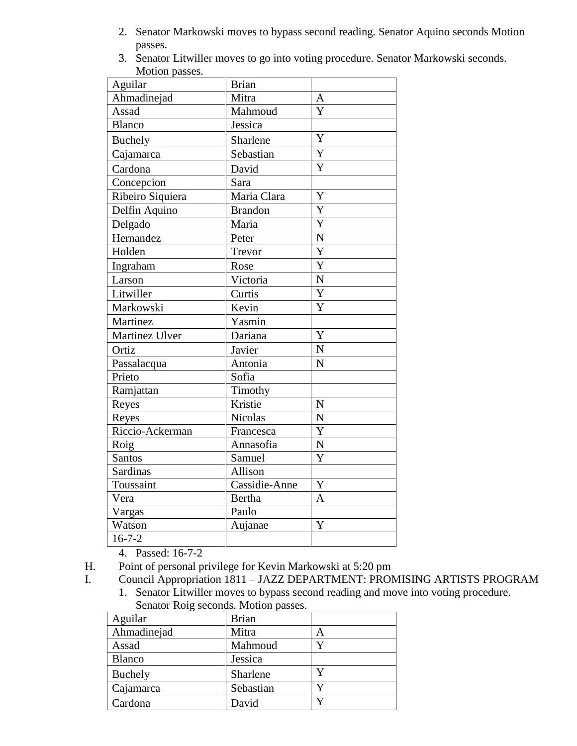- 2. Senator Markowski moves to bypass second reading. Senator Aquino seconds Motion passes.
- 3. Senator Litwiller moves to go into voting procedure. Senator Markowski seconds. Motion passes.

| Aguilar          | <b>Brian</b>   |                       |
|------------------|----------------|-----------------------|
| Ahmadinejad      | Mitra          | A                     |
| Assad            | Mahmoud        | Ý                     |
| <b>Blanco</b>    | Jessica        |                       |
| <b>Buchely</b>   | Sharlene       | $\overline{\text{Y}}$ |
| Cajamarca        | Sebastian      | Y                     |
| Cardona          | David          | Y                     |
| Concepcion       | Sara           |                       |
| Ribeiro Siquiera | Maria Clara    | Y                     |
| Delfin Aquino    | <b>Brandon</b> | Y                     |
| Delgado          | Maria          | Y                     |
| Hernandez        | Peter          | $\mathbf N$           |
| Holden           | Trevor         | $\overline{Y}$        |
| Ingraham         | Rose           | $\overline{Y}$        |
| Larson           | Victoria       | $\overline{N}$        |
| Litwiller        | Curtis         | Y                     |
| Markowski        | Kevin          | Y                     |
| Martinez         | Yasmin         |                       |
| Martinez Ulver   | Dariana        | Y                     |
| Ortiz            | Javier         | N                     |
| Passalacqua      | Antonia        | N                     |
| Prieto           | Sofia          |                       |
| Ramjattan        | Timothy        |                       |
| Reyes            | Kristie        | ${\bf N}$             |
| Reyes            | <b>Nicolas</b> | $\overline{N}$        |
| Riccio-Ackerman  | Francesca      | $\overline{Y}$        |
| Roig             | Annasofia      | $\overline{\rm N}$    |
| <b>Santos</b>    | Samuel         | Y                     |
| <b>Sardinas</b>  | Allison        |                       |
| Toussaint        | Cassidie-Anne  | Y                     |
| Vera             | <b>Bertha</b>  | $\overline{A}$        |
| Vargas           | Paulo          |                       |
| Watson           | Aujanae        | Y                     |
| $16 - 7 - 2$     |                |                       |

4. Passed: 16-7-2

- H. Point of personal privilege for Kevin Markowski at 5:20 pm
- I. Council Appropriation 1811 JAZZ DEPARTMENT: PROMISING ARTISTS PROGRAM
	- 1. Senator Litwiller moves to bypass second reading and move into voting procedure. Senator Roig seconds. Motion passes.

| Aguilar       | <b>Brian</b> |   |
|---------------|--------------|---|
| Ahmadinejad   | Mitra        | А |
| Assad         | Mahmoud      |   |
| <b>Blanco</b> | Jessica      |   |
| Buchely       | Sharlene     |   |
| Cajamarca     | Sebastian    |   |
| Cardona       | David        |   |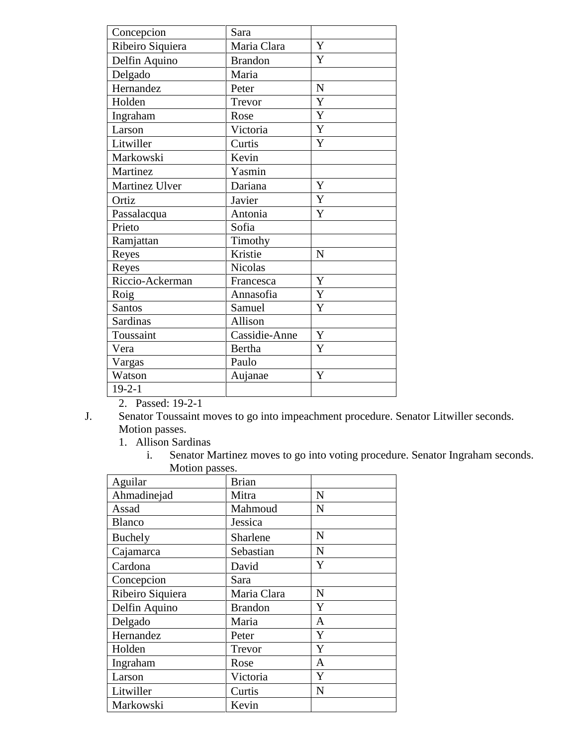| Concepcion       | Sara           |             |
|------------------|----------------|-------------|
| Ribeiro Siquiera | Maria Clara    | Y           |
| Delfin Aquino    | <b>Brandon</b> | Y           |
| Delgado          | Maria          |             |
| Hernandez        | Peter          | N           |
| Holden           | Trevor         | Y           |
| Ingraham         | Rose           | Y           |
| Larson           | Victoria       | Y           |
| Litwiller        | Curtis         | Y           |
| Markowski        | Kevin          |             |
| Martinez         | Yasmin         |             |
| Martinez Ulver   | Dariana        | Y           |
| Ortiz            | Javier         | Y           |
| Passalacqua      | Antonia        | Y           |
| Prieto           | Sofia          |             |
| Ramjattan        | Timothy        |             |
| Reyes            | Kristie        | $\mathbf N$ |
| Reyes            | <b>Nicolas</b> |             |
| Riccio-Ackerman  | Francesca      | Y           |
| Roig             | Annasofia      | Y           |
| <b>Santos</b>    | Samuel         | Y           |
| Sardinas         | Allison        |             |
| Toussaint        | Cassidie-Anne  | Y           |
| Vera             | Bertha         | Y           |
| Vargas           | Paulo          |             |
| Watson           | Aujanae        | Y           |
| $19 - 2 - 1$     |                |             |

2. Passed: 19-2-1

J. Senator Toussaint moves to go into impeachment procedure. Senator Litwiller seconds. Motion passes.

1. Allison Sardinas

i. Senator Martinez moves to go into voting procedure. Senator Ingraham seconds. Motion passes.

| Aguilar          | <b>Brian</b>   |   |
|------------------|----------------|---|
| Ahmadinejad      | Mitra          | N |
| Assad            | Mahmoud        | N |
| <b>Blanco</b>    | Jessica        |   |
| Buchely          | Sharlene       | N |
| Cajamarca        | Sebastian      | N |
| Cardona          | David          | Y |
| Concepcion       | Sara           |   |
| Ribeiro Siquiera | Maria Clara    | N |
| Delfin Aquino    | <b>Brandon</b> | Y |
| Delgado          | Maria          | A |
| Hernandez        | Peter          | Y |
| Holden           | Trevor         | Y |
| Ingraham         | Rose           | A |
| Larson           | Victoria       | Y |
| Litwiller        | Curtis         | N |
| Markowski        | Kevin          |   |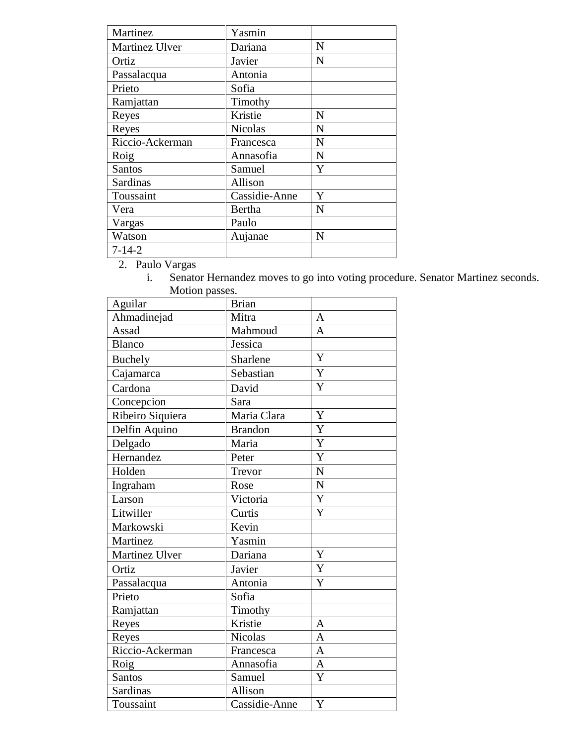| Martinez        | Yasmin         |   |
|-----------------|----------------|---|
| Martinez Ulver  | Dariana        | N |
| Ortiz           | Javier         | N |
| Passalacqua     | Antonia        |   |
| Prieto          | Sofia          |   |
| Ramjattan       | Timothy        |   |
| Reyes           | Kristie        | N |
| Reyes           | <b>Nicolas</b> | N |
| Riccio-Ackerman | Francesca      | N |
| Roig            | Annasofia      | N |
| <b>Santos</b>   | Samuel         | Y |
| Sardinas        | Allison        |   |
| Toussaint       | Cassidie-Anne  | Y |
| Vera            | Bertha         | N |
| Vargas          | Paulo          |   |
| Watson          | Aujanae        | N |
| $7 - 14 - 2$    |                |   |

2. Paulo Vargas

i. Senator Hernandez moves to go into voting procedure. Senator Martinez seconds. Motion passes.

| Aguilar          | <b>Brian</b>             |                       |
|------------------|--------------------------|-----------------------|
| Ahmadinejad      | Mitra                    | A                     |
| Assad            | Mahmoud                  | $\overline{A}$        |
| <b>Blanco</b>    | Jessica                  |                       |
| <b>Buchely</b>   | Sharlene                 | Y                     |
| Cajamarca        | Sebastian                | Y                     |
| Cardona          | David                    | $\overline{Y}$        |
| Concepcion       | Sara                     |                       |
| Ribeiro Siquiera | Maria Clara              | Y                     |
| Delfin Aquino    | <b>Brandon</b>           | Y                     |
| Delgado          | Maria                    | $\overline{Y}$        |
| Hernandez        | Peter                    | $\overline{\text{Y}}$ |
| Holden           | Trevor                   | $\mathbf N$           |
| Ingraham         | Rose                     | $\overline{N}$        |
| Larson           | Victoria                 | Y                     |
| Litwiller        | Curtis                   | Y                     |
| Markowski        | Kevin                    |                       |
| Martinez         | Yasmin                   |                       |
| Martinez Ulver   | Dariana                  | Y                     |
| Ortiz            | Javier                   | Y                     |
| Passalacqua      | Antonia                  | Y                     |
| Prieto           | $\overline{\text{Soft}}$ |                       |
| Ramjattan        | Timothy                  |                       |
| Reyes            | Kristie                  | $\overline{A}$        |
| Reyes            | <b>Nicolas</b>           | A                     |
| Riccio-Ackerman  | Francesca                | $\overline{A}$        |
| Roig             | Annasofia                | $\mathbf{A}$          |
| Santos           | Samuel                   | Y                     |
| Sardinas         | Allison                  |                       |
| Toussaint        | Cassidie-Anne            | Y                     |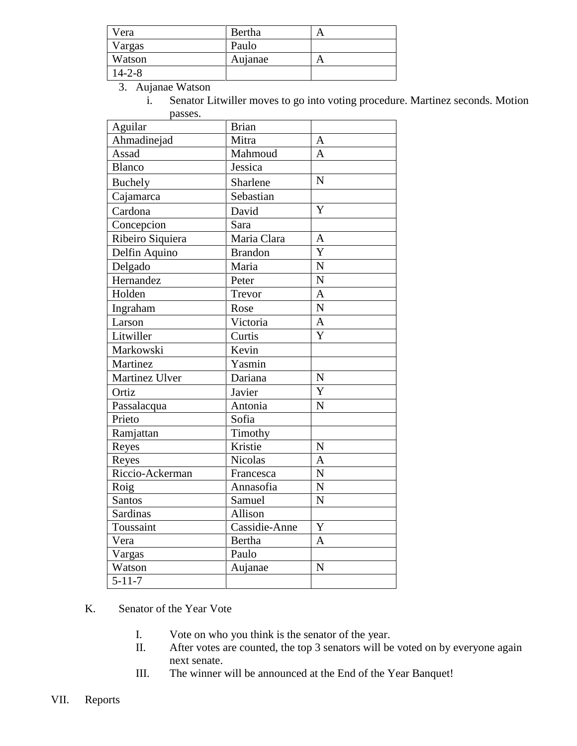| Vera   | Bertha  |  |
|--------|---------|--|
| Vargas | Paulo   |  |
| Watson | Aujanae |  |
| 14-2-8 |         |  |

3. Aujanae Watson

i. Senator Litwiller moves to go into voting procedure. Martinez seconds. Motion passes.

| Aguilar          | <b>Brian</b>   |                       |
|------------------|----------------|-----------------------|
| Ahmadinejad      | Mitra          | $\mathbf{A}$          |
| Assad            | Mahmoud        | $\overline{A}$        |
| <b>Blanco</b>    | Jessica        |                       |
| <b>Buchely</b>   | Sharlene       | N                     |
| Cajamarca        | Sebastian      |                       |
| Cardona          | David          | Y                     |
| Concepcion       | Sara           |                       |
| Ribeiro Siquiera | Maria Clara    | A                     |
| Delfin Aquino    | <b>Brandon</b> | Y                     |
| Delgado          | Maria          | $\overline{N}$        |
| Hernandez        | Peter          | $\overline{\text{N}}$ |
| Holden           | Trevor         | $\overline{A}$        |
| Ingraham         | Rose           | $\overline{N}$        |
| Larson           | Victoria       | $\overline{A}$        |
| Litwiller        | Curtis         | Y                     |
| Markowski        | Kevin          |                       |
| Martinez         | Yasmin         |                       |
| Martinez Ulver   | Dariana        | N                     |
| Ortiz            | Javier         | $\overline{\text{Y}}$ |
| Passalacqua      | Antonia        | $\overline{N}$        |
| Prieto           | Sofia          |                       |
| Ramjattan        | Timothy        |                       |
| Reyes            | Kristie        | $\overline{N}$        |
| Reyes            | <b>Nicolas</b> | $\overline{A}$        |
| Riccio-Ackerman  | Francesca      | $\overline{N}$        |
| Roig             | Annasofia      | $\overline{N}$        |
| Santos           | Samuel         | $\overline{N}$        |
| Sardinas         | Allison        |                       |
| Toussaint        | Cassidie-Anne  | Y                     |
| Vera             | <b>Bertha</b>  | $\overline{A}$        |
| Vargas           | Paulo          |                       |
| Watson           | Aujanae        | N                     |
| $5 - 11 - 7$     |                |                       |

K. Senator of the Year Vote

- I. Vote on who you think is the senator of the year.
- II. After votes are counted, the top 3 senators will be voted on by everyone again next senate.
- III. The winner will be announced at the End of the Year Banquet!